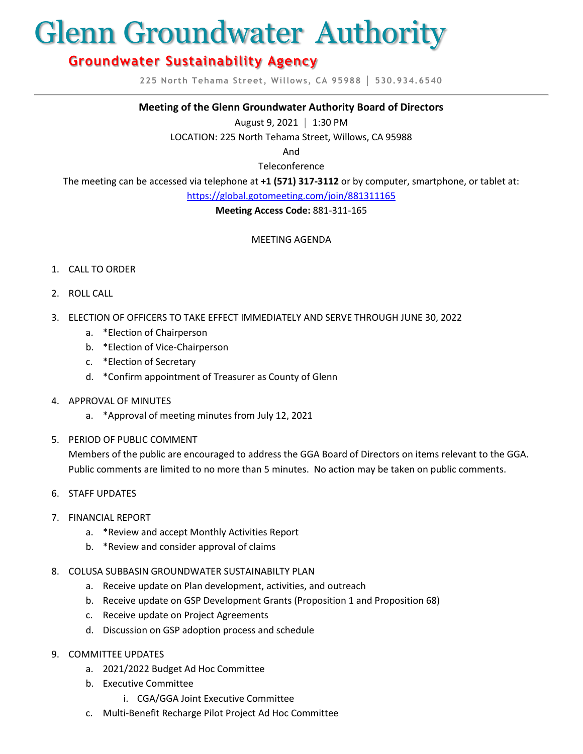# Glenn Groundwater Authority

# **Groundwater Sustainability Agency**

**225 North Tehama Street, Willows, CA 95988 │ 530.934.6540**

#### **Meeting of the Glenn Groundwater Authority Board of Directors**

August 9, 2021 **│** 1:30 PM

LOCATION: 225 North Tehama Street, Willows, CA 95988

And

Teleconference

The meeting can be accessed via telephone at **+1 (571) 317-3112** or by computer, smartphone, or tablet at:

<https://global.gotomeeting.com/join/881311165>

**Meeting Access Code:** 881-311-165

# MEETING AGENDA

#### 1. CALL TO ORDER

- 2. ROLL CALL
- 3. ELECTION OF OFFICERS TO TAKE EFFECT IMMEDIATELY AND SERVE THROUGH JUNE 30, 2022
	- a. \*Election of Chairperson
	- b. \*Election of Vice-Chairperson
	- c. \*Election of Secretary
	- d. \*Confirm appointment of Treasurer as County of Glenn
- 4. APPROVAL OF MINUTES
	- a. \*Approval of meeting minutes from July 12, 2021
- 5. PERIOD OF PUBLIC COMMENT

Members of the public are encouraged to address the GGA Board of Directors on items relevant to the GGA. Public comments are limited to no more than 5 minutes. No action may be taken on public comments.

- 6. STAFF UPDATES
- 7. FINANCIAL REPORT
	- a. \*Review and accept Monthly Activities Report
	- b. \*Review and consider approval of claims
- 8. COLUSA SUBBASIN GROUNDWATER SUSTAINABILTY PLAN
	- a. Receive update on Plan development, activities, and outreach
	- b. Receive update on GSP Development Grants (Proposition 1 and Proposition 68)
	- c. Receive update on Project Agreements
	- d. Discussion on GSP adoption process and schedule
- 9. COMMITTEE UPDATES
	- a. 2021/2022 Budget Ad Hoc Committee
	- b. Executive Committee
		- i. CGA/GGA Joint Executive Committee
	- c. Multi-Benefit Recharge Pilot Project Ad Hoc Committee